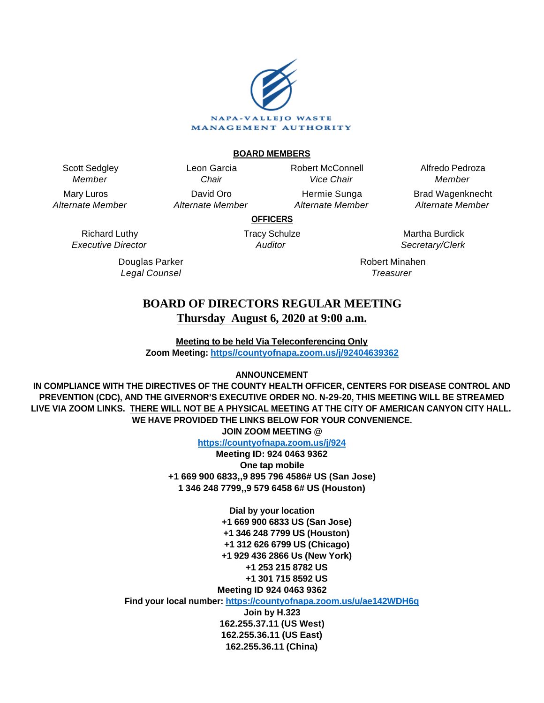

#### **BOARD MEMBERS**

Scott Sedgley Member

Mary Luros Alternate Member

> Richard Luthy Executive Director

> > Douglas Parker Legal Counsel

Leon Garcia **Chair** David Oro Alternate Member Robert McConnell Vice Chair

Hermie Sunga Alternate Member

Alfredo Pedroza Member Brad Wagenknecht

Alternate Member

**OFFICERS**

Tracy Schulze **Auditor** 

Martha Burdick Secretary/Clerk

Robert Minahen **Treasurer** 

## **BOARD OF DIRECTORS REGULAR MEETING Thursday August 6, 2020 at 9:00 a.m.**

**Meeting to be held Via Teleconferencing Only Zoom Meeting: [https//countyofnapa.zoom.us/j/92404639362](http://intranetprod01/AgendaNet/Reports/https//countyofnapa.zoom.us/j/99111938225)**

#### **ANNOUNCEMENT**

**IN COMPLIANCE WITH THE DIRECTIVES OF THE COUNTY HEALTH OFFICER, CENTERS FOR DISEASE CONTROL AND PREVENTION (CDC), AND THE GIVERNOR'S EXECUTIVE ORDER NO. N-29-20, THIS MEETING WILL BE STREAMED LIVE VIA ZOOM LINKS. THERE WILL NOT BE A PHYSICAL MEETING AT THE CITY OF AMERICAN CANYON CITY HALL. WE HAVE PROVIDED THE LINKS BELOW FOR YOUR CONVENIENCE. JOIN ZOOM MEETING @**

**<https://countyofnapa.zoom.us/j/924>**

**Meeting ID: 924 0463 9362 One tap mobile +1 669 900 6833,,9 895 796 4586# US (San Jose) 1 346 248 7799,,9 579 6458 6# US (Houston)**

> **Dial by your location +1 669 900 6833 US (San Jose) +1 346 248 7799 US (Houston) +1 312 626 6799 US (Chicago) +1 929 436 2866 Us (New York) +1 253 215 8782 US +1 301 715 8592 US Meeting ID 924 0463 9362**

**Find your local number:<https://countyofnapa.zoom.us/u/ae142WDH6q>**

**Join by H.323 162.255.37.11 (US West) 162.255.36.11 (US East) 162.255.36.11 (China)**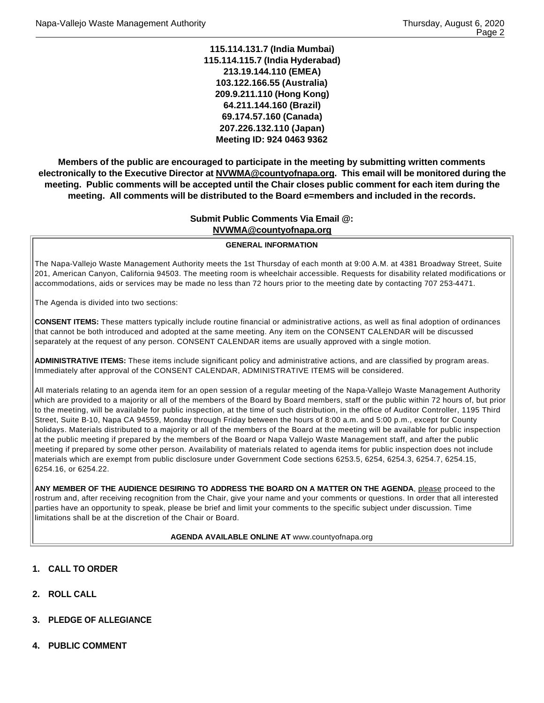**115.114.131.7 (India Mumbai) 115.114.115.7 (India Hyderabad) 213.19.144.110 (EMEA) 103.122.166.55 (Australia) 209.9.211.110 (Hong Kong) 64.211.144.160 (Brazil) 69.174.57.160 (Canada) 207.226.132.110 (Japan) Meeting ID: 924 0463 9362**

**Members of the public are encouraged to participate in the meeting by submitting written comments electronically to the Executive Director at NVWMA@countyofnapa.org. This email will be monitored during the meeting. Public comments will be accepted until the Chair closes public comment for each item during the meeting. All comments will be distributed to the Board e=members and included in the records.**

#### **Submit Public Comments Via Email @: NVWMA@countyofnapa.org**

#### **GENERAL INFORMATION**

The Napa-Vallejo Waste Management Authority meets the 1st Thursday of each month at 9:00 A.M. at 4381 Broadway Street, Suite 201, American Canyon, California 94503. The meeting room is wheelchair accessible. Requests for disability related modifications or accommodations, aids or services may be made no less than 72 hours prior to the meeting date by contacting 707 253-4471.

The Agenda is divided into two sections:

**CONSENT ITEMS:** These matters typically include routine financial or administrative actions, as well as final adoption of ordinances that cannot be both introduced and adopted at the same meeting. Any item on the CONSENT CALENDAR will be discussed separately at the request of any person. CONSENT CALENDAR items are usually approved with a single motion.

**ADMINISTRATIVE ITEMS:** These items include significant policy and administrative actions, and are classified by program areas. Immediately after approval of the CONSENT CALENDAR, ADMINISTRATIVE ITEMS will be considered.

All materials relating to an agenda item for an open session of a regular meeting of the Napa-Vallejo Waste Management Authority which are provided to a majority or all of the members of the Board by Board members, staff or the public within 72 hours of, but prior to the meeting, will be available for public inspection, at the time of such distribution, in the office of Auditor Controller, 1195 Third Street, Suite B-10, Napa CA 94559, Monday through Friday between the hours of 8:00 a.m. and 5:00 p.m., except for County holidays. Materials distributed to a majority or all of the members of the Board at the meeting will be available for public inspection at the public meeting if prepared by the members of the Board or Napa Vallejo Waste Management staff, and after the public meeting if prepared by some other person. Availability of materials related to agenda items for public inspection does not include materials which are exempt from public disclosure under Government Code sections 6253.5, 6254, 6254.3, 6254.7, 6254.15, 6254.16, or 6254.22.

**ANY MEMBER OF THE AUDIENCE DESIRING TO ADDRESS THE BOARD ON A MATTER ON THE AGENDA**, please proceed to the rostrum and, after receiving recognition from the Chair, give your name and your comments or questions. In order that all interested parties have an opportunity to speak, please be brief and limit your comments to the specific subject under discussion. Time limitations shall be at the discretion of the Chair or Board.

#### **AGENDA AVAILABLE ONLINE AT** www.countyofnapa.org

- **1. CALL TO ORDER**
- **2. ROLL CALL**
- **3. PLEDGE OF ALLEGIANCE**
- **4. PUBLIC COMMENT**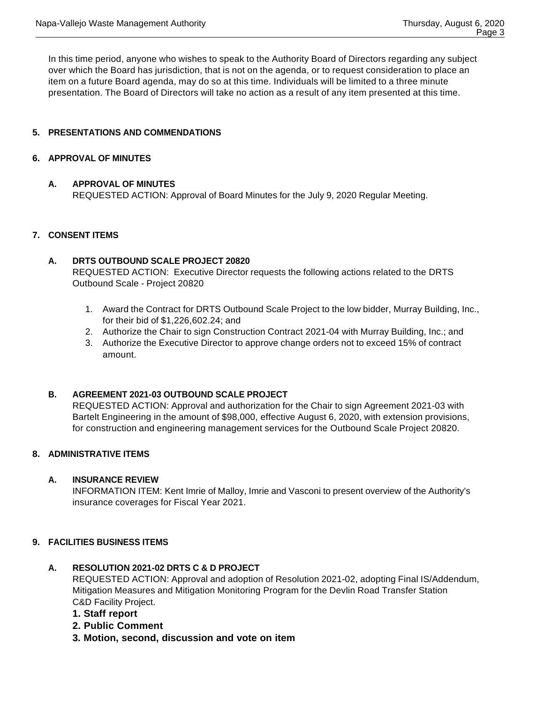In this time period, anyone who wishes to speak to the Authority Board of Directors regarding any subject over which the Board has jurisdiction, that is not on the agenda, or to request consideration to place an item on a future Board agenda, may do so at this time. Individuals will be limited to a three minute presentation. The Board of Directors will take no action as a result of any item presented at this time.

### **5. PRESENTATIONS AND COMMENDATIONS**

#### **6. APPROVAL OF MINUTES**

#### **A. APPROVAL OF MINUTES**

REQUESTED ACTION: Approval of Board Minutes for the July 9, 2020 Regular Meeting.

#### **7. CONSENT ITEMS**

### **A. DRTS OUTBOUND SCALE PROJECT 20820** REQUESTED ACTION: Executive Director requests the following actions related to the DRTS Outbound Scale - Project 20820

- 1. Award the Contract for DRTS Outbound Scale Project to the low bidder, Murray Building, Inc., for their bid of \$1,226,602.24; and
- 2. Authorize the Chair to sign Construction Contract 2021-04 with Murray Building, Inc.; and
- 3. Authorize the Executive Director to approve change orders not to exceed 15% of contract amount.

#### **B. AGREEMENT 2021-03 OUTBOUND SCALE PROJECT**

REQUESTED ACTION: Approval and authorization for the Chair to sign Agreement 2021-03 with Bartelt Engineering in the amount of \$98,000, effective August 6, 2020, with extension provisions, for construction and engineering management services for the Outbound Scale Project 20820.

#### **8. ADMINISTRATIVE ITEMS**

### **A. INSURANCE REVIEW**

INFORMATION ITEM: Kent Imrie of Malloy, Imrie and Vasconi to present overview of the Authority's insurance coverages for Fiscal Year 2021.

#### **9. FACILITIES BUSINESS ITEMS**

#### **A. RESOLUTION 2021-02 DRTS C & D PROJECT**

REQUESTED ACTION: Approval and adoption of Resolution 2021-02, adopting Final IS/Addendum, Mitigation Measures and Mitigation Monitoring Program for the Devlin Road Transfer Station C&D Facility Project.

- **1. Staff report**
- **2. Public Comment**
- **3. Motion, second, discussion and vote on item**